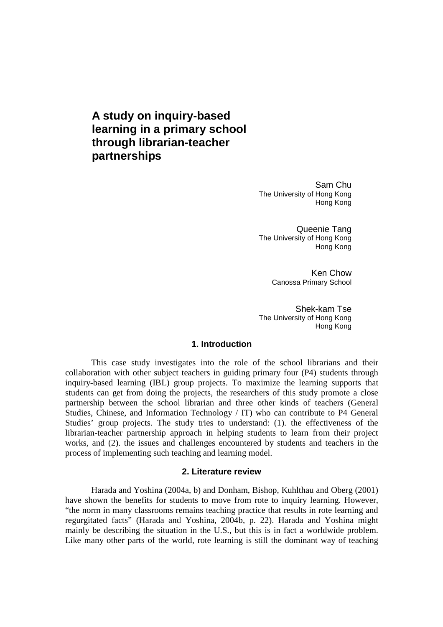# **A study on inquiry-based learning in a primary school through librarian-teacher partnerships**

Sam Chu The University of Hong Kong Hong Kong

Queenie Tang The University of Hong Kong Hong Kong

> Ken Chow Canossa Primary School

Shek-kam Tse The University of Hong Kong Hong Kong

#### **1. Introduction**

This case study investigates into the role of the school librarians and their collaboration with other subject teachers in guiding primary four (P4) students through inquiry-based learning (IBL) group projects. To maximize the learning supports that students can get from doing the projects, the researchers of this study promote a close partnership between the school librarian and three other kinds of teachers (General Studies, Chinese, and Information Technology / IT) who can contribute to P4 General Studies' group projects. The study tries to understand: (1). the effectiveness of the librarian-teacher partnership approach in helping students to learn from their project works, and (2). the issues and challenges encountered by students and teachers in the process of implementing such teaching and learning model.

#### **2. Literature review**

Harada and Yoshina (2004a, b) and Donham, Bishop, Kuhlthau and Oberg (2001) have shown the benefits for students to move from rote to inquiry learning. However, "the norm in many classrooms remains teaching practice that results in rote learning and regurgitated facts" (Harada and Yoshina, 2004b, p. 22). Harada and Yoshina might mainly be describing the situation in the U.S., but this is in fact a worldwide problem. Like many other parts of the world, rote learning is still the dominant way of teaching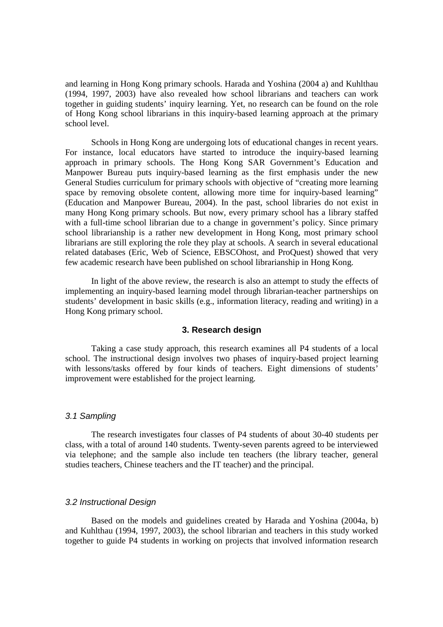and learning in Hong Kong primary schools. Harada and Yoshina (2004 a) and Kuhlthau (1994, 1997, 2003) have also revealed how school librarians and teachers can work together in guiding students' inquiry learning. Yet, no research can be found on the role of Hong Kong school librarians in this inquiry-based learning approach at the primary school level.

Schools in Hong Kong are undergoing lots of educational changes in recent years. For instance, local educators have started to introduce the inquiry-based learning approach in primary schools. The Hong Kong SAR Government's Education and Manpower Bureau puts inquiry-based learning as the first emphasis under the new General Studies curriculum for primary schools with objective of "creating more learning space by removing obsolete content, allowing more time for inquiry-based learning" (Education and Manpower Bureau, 2004). In the past, school libraries do not exist in many Hong Kong primary schools. But now, every primary school has a library staffed with a full-time school librarian due to a change in government's policy. Since primary school librarianship is a rather new development in Hong Kong, most primary school librarians are still exploring the role they play at schools. A search in several educational related databases (Eric, Web of Science, EBSCOhost, and ProQuest) showed that very few academic research have been published on school librarianship in Hong Kong.

In light of the above review, the research is also an attempt to study the effects of implementing an inquiry-based learning model through librarian-teacher partnerships on students' development in basic skills (e.g., information literacy, reading and writing) in a Hong Kong primary school.

#### **3. Research design**

Taking a case study approach, this research examines all P4 students of a local school. The instructional design involves two phases of inquiry-based project learning with lessons/tasks offered by four kinds of teachers. Eight dimensions of students' improvement were established for the project learning.

#### 3.1 Sampling

The research investigates four classes of P4 students of about 30-40 students per class, with a total of around 140 students. Twenty-seven parents agreed to be interviewed via telephone; and the sample also include ten teachers (the library teacher, general studies teachers, Chinese teachers and the IT teacher) and the principal.

#### 3.2 Instructional Design

Based on the models and guidelines created by Harada and Yoshina (2004a, b) and Kuhlthau (1994, 1997, 2003), the school librarian and teachers in this study worked together to guide P4 students in working on projects that involved information research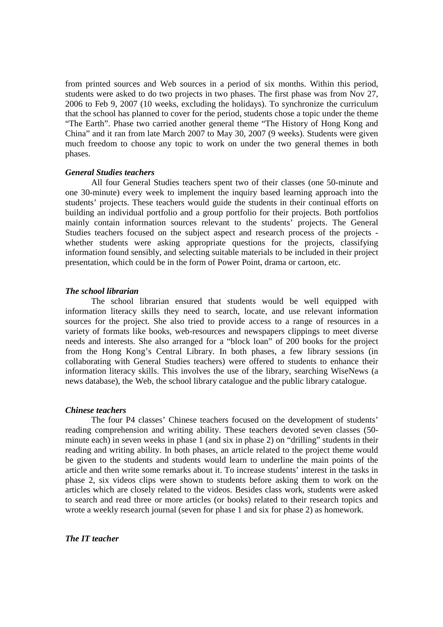from printed sources and Web sources in a period of six months. Within this period, students were asked to do two projects in two phases. The first phase was from Nov 27, 2006 to Feb 9, 2007 (10 weeks, excluding the holidays). To synchronize the curriculum that the school has planned to cover for the period, students chose a topic under the theme "The Earth". Phase two carried another general theme "The History of Hong Kong and China" and it ran from late March 2007 to May 30, 2007 (9 weeks). Students were given much freedom to choose any topic to work on under the two general themes in both phases.

#### *General Studies teachers*

All four General Studies teachers spent two of their classes (one 50-minute and one 30-minute) every week to implement the inquiry based learning approach into the students' projects. These teachers would guide the students in their continual efforts on building an individual portfolio and a group portfolio for their projects. Both portfolios mainly contain information sources relevant to the students' projects. The General Studies teachers focused on the subject aspect and research process of the projects whether students were asking appropriate questions for the projects, classifying information found sensibly, and selecting suitable materials to be included in their project presentation, which could be in the form of Power Point, drama or cartoon, etc.

#### *The school librarian*

The school librarian ensured that students would be well equipped with information literacy skills they need to search, locate, and use relevant information sources for the project. She also tried to provide access to a range of resources in a variety of formats like books, web-resources and newspapers clippings to meet diverse needs and interests. She also arranged for a "block loan" of 200 books for the project from the Hong Kong's Central Library. In both phases, a few library sessions (in collaborating with General Studies teachers) were offered to students to enhance their information literacy skills. This involves the use of the library, searching WiseNews (a news database), the Web, the school library catalogue and the public library catalogue.

#### *Chinese teachers*

The four P4 classes' Chinese teachers focused on the development of students' reading comprehension and writing ability. These teachers devoted seven classes (50 minute each) in seven weeks in phase 1 (and six in phase 2) on "drilling" students in their reading and writing ability. In both phases, an article related to the project theme would be given to the students and students would learn to underline the main points of the article and then write some remarks about it. To increase students' interest in the tasks in phase 2, six videos clips were shown to students before asking them to work on the articles which are closely related to the videos. Besides class work, students were asked to search and read three or more articles (or books) related to their research topics and wrote a weekly research journal (seven for phase 1 and six for phase 2) as homework.

## *The IT teacher*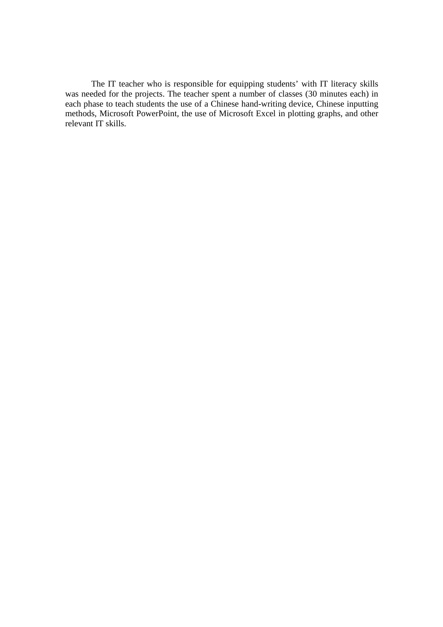The IT teacher who is responsible for equipping students' with IT literacy skills was needed for the projects. The teacher spent a number of classes (30 minutes each) in each phase to teach students the use of a Chinese hand-writing device, Chinese inputting methods, Microsoft PowerPoint, the use of Microsoft Excel in plotting graphs, and other relevant IT skills.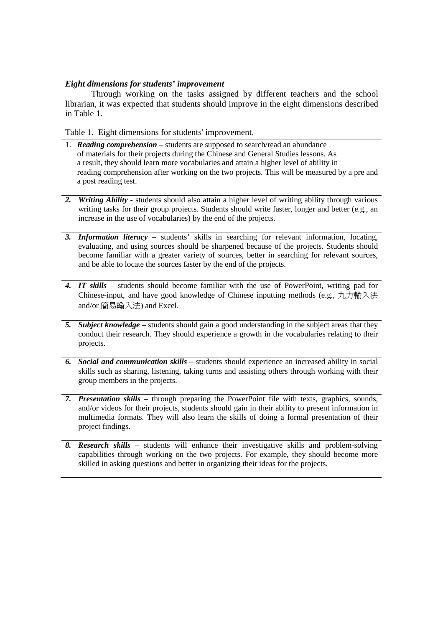### *Eight dimensions for students' improvement*

Through working on the tasks assigned by different teachers and the school librarian, it was expected that students should improve in the eight dimensions described in Table 1.

Table 1. Eight dimensions for students' improvement.

- 1. *Reading comprehension* students are supposed to search/read an abundance of materials for their projects during the Chinese and General Studies lessons. As a result, they should learn more vocabularies and attain a higher level of ability in reading comprehension after working on the two projects. This will be measured by a pre and a post reading test.
- *2. Writing Ability* students should also attain a higher level of writing ability through various writing tasks for their group projects. Students should write faster, longer and better (e.g., an increase in the use of vocabularies) by the end of the projects.
- *3. Information literacy* students' skills in searching for relevant information, locating, evaluating, and using sources should be sharpened because of the projects. Students should become familiar with a greater variety of sources, better in searching for relevant sources, and be able to locate the sources faster by the end of the projects.
- *4. IT skills* students should become familiar with the use of PowerPoint, writing pad for Chinese-input, and have good knowledge of Chinese inputting methods (e.g., 九方輸入法 and/or 簡易輸入法) and Excel.
- *5. Subject knowledge* students should gain a good understanding in the subject areas that they conduct their research. They should experience a growth in the vocabularies relating to their projects.
- *6. Social and communication skills* students should experience an increased ability in social skills such as sharing, listening, taking turns and assisting others through working with their group members in the projects.
- *7. Presentation skills* through preparing the PowerPoint file with texts, graphics, sounds, and/or videos for their projects, students should gain in their ability to present information in multimedia formats. They will also learn the skills of doing a formal presentation of their project findings.
- *8. Research skills* students will enhance their investigative skills and problem-solving capabilities through working on the two projects. For example, they should become more skilled in asking questions and better in organizing their ideas for the projects.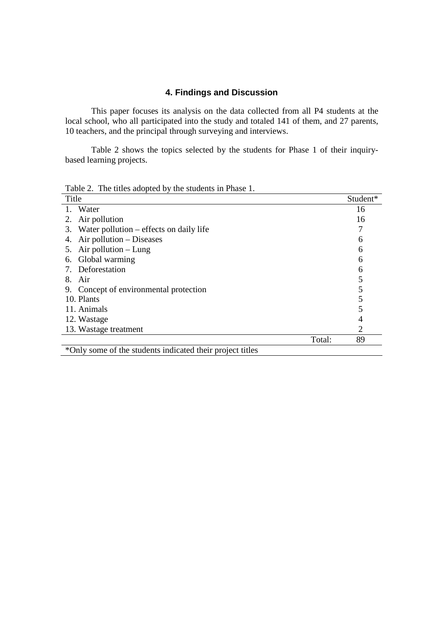## **4. Findings and Discussion**

This paper focuses its analysis on the data collected from all P4 students at the local school, who all participated into the study and totaled 141 of them, and 27 parents, 10 teachers, and the principal through surveying and interviews.

Table 2 shows the topics selected by the students for Phase 1 of their inquirybased learning projects.

Table 2. The titles adopted by the students in Phase 1.

| Title                                                     | Student* |
|-----------------------------------------------------------|----------|
| Water                                                     | 16       |
| Air pollution<br>2.                                       | 16       |
| Water pollution – effects on daily life<br>3.             |          |
| Air pollution – Diseases<br>4.                            | 6        |
| Air pollution $-$ Lung<br>5.                              | 6        |
| Global warming<br>6.                                      | 6        |
| Deforestation                                             | 6        |
| Air<br>8.                                                 |          |
| 9. Concept of environmental protection                    |          |
| 10. Plants                                                |          |
| 11. Animals                                               |          |
| 12. Wastage                                               | 4        |
| 13. Wastage treatment                                     | 2        |
| Total:                                                    | 89       |
| *Only some of the students indicated their project titles |          |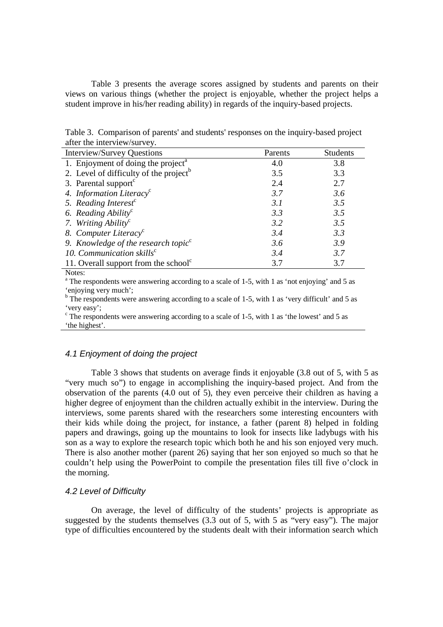Table 3 presents the average scores assigned by students and parents on their views on various things (whether the project is enjoyable, whether the project helps a student improve in his/her reading ability) in regards of the inquiry-based projects.

Table 3. Comparison of parents' and students' responses on the inquiry-based project after the interview/survey.

| <b>Interview/Survey Questions</b>                  | Parents | <b>Students</b> |
|----------------------------------------------------|---------|-----------------|
| 1. Enjoyment of doing the project <sup>a</sup>     | 4.0     | 3.8             |
| 2. Level of difficulty of the project <sup>b</sup> | 3.5     | 3.3             |
| 3. Parental support <sup>c</sup>                   | 2.4     | 2.7             |
| 4. Information Literacy <sup>c</sup>               | 3.7     | 3.6             |
| 5. Reading Interest <sup>c</sup>                   | 3.1     | 3.5             |
| 6. Reading Ability <sup>c</sup>                    | 3.3     | 3.5             |
| 7. Writing Ability <sup>c</sup>                    | 3.2     | 3.5             |
| 8. Computer Literacy <sup>c</sup>                  | 3.4     | 3.3             |
| 9. Knowledge of the research topic <sup>c</sup>    | 3.6     | 3.9             |
| 10. Communication skills <sup>c</sup>              | 3.4     | 3.7             |
| 11. Overall support from the school <sup>c</sup>   | 3.7     | 3.7             |

Notes:

<sup>a</sup> The respondents were answering according to a scale of 1-5, with 1 as 'not enjoying' and 5 as 'enjoying very much';

<sup>b</sup> The respondents were answering according to a scale of 1-5, with 1 as 'very difficult' and 5 as 'very easy';

<sup>c</sup> The respondents were answering according to a scale of 1-5, with 1 as 'the lowest' and 5 as 'the highest'.

## 4.1 Enjoyment of doing the project

Table 3 shows that students on average finds it enjoyable (3.8 out of 5, with 5 as "very much so") to engage in accomplishing the inquiry-based project. And from the observation of the parents (4.0 out of 5), they even perceive their children as having a higher degree of enjoyment than the children actually exhibit in the interview. During the interviews, some parents shared with the researchers some interesting encounters with their kids while doing the project, for instance, a father (parent 8) helped in folding papers and drawings, going up the mountains to look for insects like ladybugs with his son as a way to explore the research topic which both he and his son enjoyed very much. There is also another mother (parent 26) saying that her son enjoyed so much so that he couldn't help using the PowerPoint to compile the presentation files till five o'clock in the morning.

#### 4.2 Level of Difficulty

On average, the level of difficulty of the students' projects is appropriate as suggested by the students themselves (3.3 out of 5, with 5 as "very easy"). The major type of difficulties encountered by the students dealt with their information search which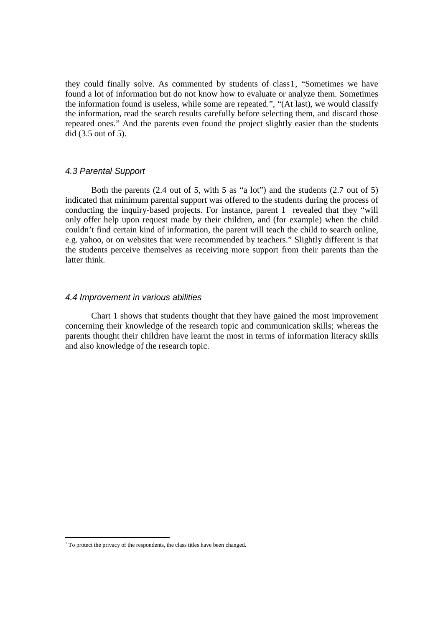they could finally solve. As commented by students of class1, "Sometimes we have found a lot of information but do not know how to evaluate or analyze them. Sometimes the information found is useless, while some are repeated.", "(At last), we would classify the information, read the search results carefully before selecting them, and discard those repeated ones." And the parents even found the project slightly easier than the students did (3.5 out of 5).

### 4.3 Parental Support

Both the parents (2.4 out of 5, with 5 as "a lot") and the students (2.7 out of 5) indicated that minimum parental support was offered to the students during the process of conducting the inquiry-based projects. For instance, parent 1 revealed that they "will only offer help upon request made by their children, and (for example) when the child couldn't find certain kind of information, the parent will teach the child to search online, e.g. yahoo, or on websites that were recommended by teachers." Slightly different is that the students perceive themselves as receiving more support from their parents than the latter think.

### 4.4 Improvement in various abilities

Chart 1 shows that students thought that they have gained the most improvement concerning their knowledge of the research topic and communication skills; whereas the parents thought their children have learnt the most in terms of information literacy skills and also knowledge of the research topic.

-

<sup>&</sup>lt;sup>1</sup> To protect the privacy of the respondents, the class titles have been changed.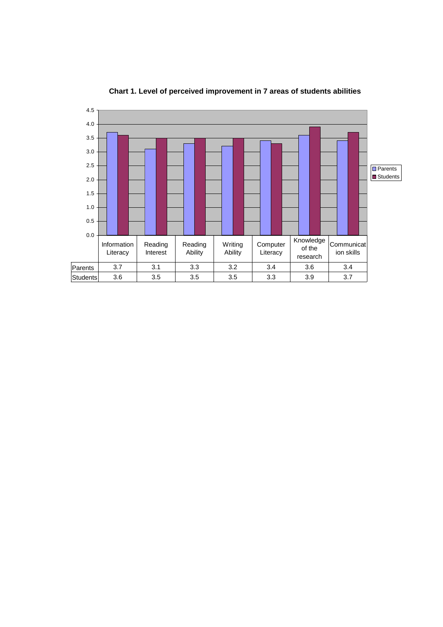

**Chart 1. Level of perceived improvement in 7 areas of students abilities**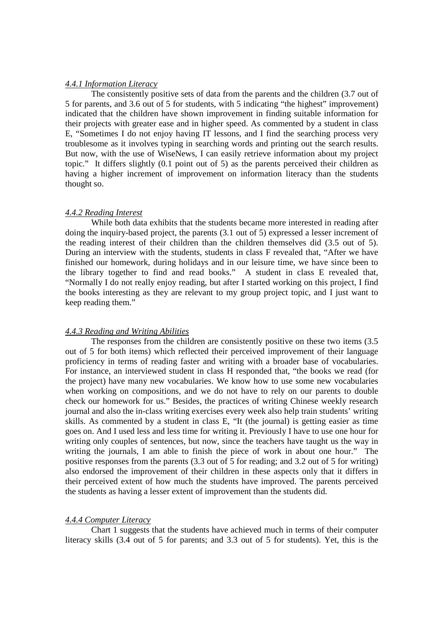#### *4.4.1 Information Literacy*

The consistently positive sets of data from the parents and the children (3.7 out of 5 for parents, and 3.6 out of 5 for students, with 5 indicating "the highest" improvement) indicated that the children have shown improvement in finding suitable information for their projects with greater ease and in higher speed. As commented by a student in class E, "Sometimes I do not enjoy having IT lessons, and I find the searching process very troublesome as it involves typing in searching words and printing out the search results. But now, with the use of WiseNews, I can easily retrieve information about my project topic." It differs slightly (0.1 point out of 5) as the parents perceived their children as having a higher increment of improvement on information literacy than the students thought so.

#### *4.4.2 Reading Interest*

While both data exhibits that the students became more interested in reading after doing the inquiry-based project, the parents (3.1 out of 5) expressed a lesser increment of the reading interest of their children than the children themselves did (3.5 out of 5). During an interview with the students, students in class F revealed that, "After we have finished our homework, during holidays and in our leisure time, we have since been to the library together to find and read books." A student in class E revealed that, "Normally I do not really enjoy reading, but after I started working on this project, I find the books interesting as they are relevant to my group project topic, and I just want to keep reading them."

#### *4.4.3 Reading and Writing Abilities*

The responses from the children are consistently positive on these two items (3.5 out of 5 for both items) which reflected their perceived improvement of their language proficiency in terms of reading faster and writing with a broader base of vocabularies. For instance, an interviewed student in class H responded that, "the books we read (for the project) have many new vocabularies. We know how to use some new vocabularies when working on compositions, and we do not have to rely on our parents to double check our homework for us." Besides, the practices of writing Chinese weekly research journal and also the in-class writing exercises every week also help train students' writing skills. As commented by a student in class E, "It (the journal) is getting easier as time goes on. And I used less and less time for writing it. Previously I have to use one hour for writing only couples of sentences, but now, since the teachers have taught us the way in writing the journals, I am able to finish the piece of work in about one hour." The positive responses from the parents (3.3 out of 5 for reading; and 3.2 out of 5 for writing) also endorsed the improvement of their children in these aspects only that it differs in their perceived extent of how much the students have improved. The parents perceived the students as having a lesser extent of improvement than the students did.

#### *4.4.4 Computer Literacy*

Chart 1 suggests that the students have achieved much in terms of their computer literacy skills (3.4 out of 5 for parents; and 3.3 out of 5 for students). Yet, this is the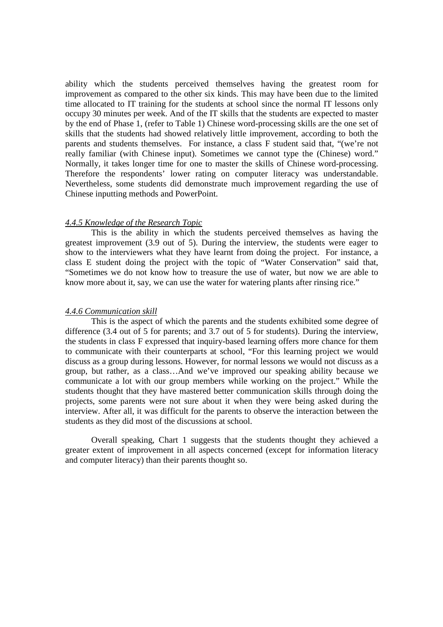ability which the students perceived themselves having the greatest room for improvement as compared to the other six kinds. This may have been due to the limited time allocated to IT training for the students at school since the normal IT lessons only occupy 30 minutes per week. And of the IT skills that the students are expected to master by the end of Phase 1, (refer to Table 1) Chinese word-processing skills are the one set of skills that the students had showed relatively little improvement, according to both the parents and students themselves. For instance, a class F student said that, "(we're not really familiar (with Chinese input). Sometimes we cannot type the (Chinese) word." Normally, it takes longer time for one to master the skills of Chinese word-processing. Therefore the respondents' lower rating on computer literacy was understandable. Nevertheless, some students did demonstrate much improvement regarding the use of Chinese inputting methods and PowerPoint.

#### *4.4.5 Knowledge of the Research Topic*

This is the ability in which the students perceived themselves as having the greatest improvement (3.9 out of 5). During the interview, the students were eager to show to the interviewers what they have learnt from doing the project. For instance, a class E student doing the project with the topic of "Water Conservation" said that, "Sometimes we do not know how to treasure the use of water, but now we are able to know more about it, say, we can use the water for watering plants after rinsing rice."

#### *4.4.6 Communication skill*

This is the aspect of which the parents and the students exhibited some degree of difference (3.4 out of 5 for parents; and 3.7 out of 5 for students). During the interview, the students in class F expressed that inquiry-based learning offers more chance for them to communicate with their counterparts at school, "For this learning project we would discuss as a group during lessons. However, for normal lessons we would not discuss as a group, but rather, as a class…And we've improved our speaking ability because we communicate a lot with our group members while working on the project." While the students thought that they have mastered better communication skills through doing the projects, some parents were not sure about it when they were being asked during the interview. After all, it was difficult for the parents to observe the interaction between the students as they did most of the discussions at school.

Overall speaking, Chart 1 suggests that the students thought they achieved a greater extent of improvement in all aspects concerned (except for information literacy and computer literacy) than their parents thought so.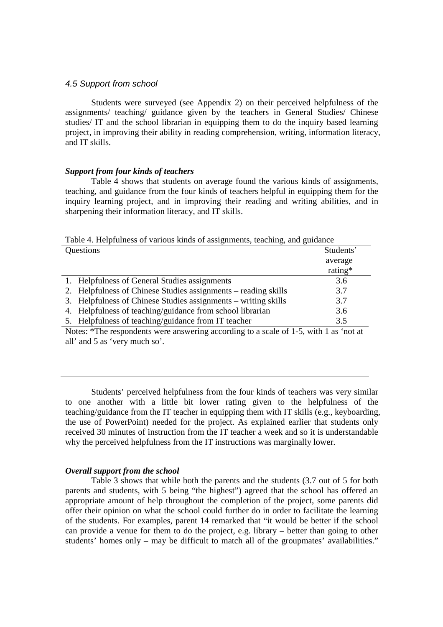#### 4.5 Support from school

Students were surveyed (see Appendix 2) on their perceived helpfulness of the assignments/ teaching/ guidance given by the teachers in General Studies/ Chinese studies/ IT and the school librarian in equipping them to do the inquiry based learning project, in improving their ability in reading comprehension, writing, information literacy, and IT skills.

#### *Support from four kinds of teachers*

Table 4 shows that students on average found the various kinds of assignments, teaching, and guidance from the four kinds of teachers helpful in equipping them for the inquiry learning project, and in improving their reading and writing abilities, and in sharpening their information literacy, and IT skills.

Table 4. Helpfulness of various kinds of assignments, teaching, and guidance

| Questions                                                      | Students' |
|----------------------------------------------------------------|-----------|
|                                                                | average   |
|                                                                | rating*   |
| 1. Helpfulness of General Studies assignments                  | 3.6       |
| 2. Helpfulness of Chinese Studies assignments – reading skills | 3.7       |
| 3. Helpfulness of Chinese Studies assignments – writing skills | 3.7       |
| 4. Helpfulness of teaching/guidance from school librarian      | 3.6       |
| 5. Helpfulness of teaching/guidance from IT teacher            | 3.5       |

Notes: \*The respondents were answering according to a scale of 1-5, with 1 as 'not at all' and 5 as 'very much so'.

Students' perceived helpfulness from the four kinds of teachers was very similar to one another with a little bit lower rating given to the helpfulness of the teaching/guidance from the IT teacher in equipping them with IT skills (e.g., keyboarding, the use of PowerPoint) needed for the project. As explained earlier that students only received 30 minutes of instruction from the IT teacher a week and so it is understandable why the perceived helpfulness from the IT instructions was marginally lower.

#### *Overall support from the school*

Table 3 shows that while both the parents and the students (3.7 out of 5 for both parents and students, with 5 being "the highest") agreed that the school has offered an appropriate amount of help throughout the completion of the project, some parents did offer their opinion on what the school could further do in order to facilitate the learning of the students. For examples, parent 14 remarked that "it would be better if the school can provide a venue for them to do the project, e.g. library – better than going to other students' homes only – may be difficult to match all of the groupmates' availabilities."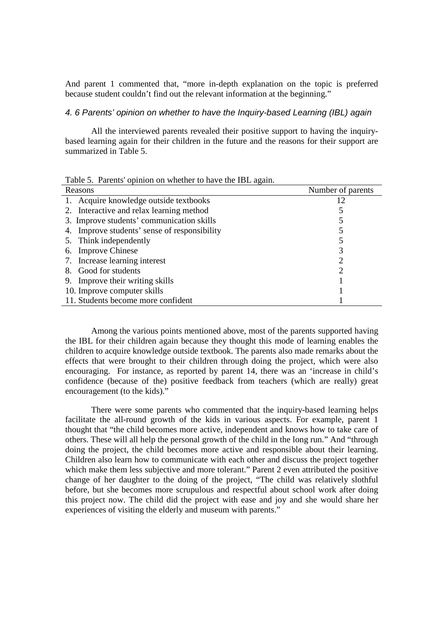And parent 1 commented that, "more in-depth explanation on the topic is preferred because student couldn't find out the relevant information at the beginning."

#### 4. 6 Parents' opinion on whether to have the Inquiry-based Learning (IBL) again

All the interviewed parents revealed their positive support to having the inquirybased learning again for their children in the future and the reasons for their support are summarized in Table 5.

| rable 5. Parents opinion on whether to have the IBL again. |                   |
|------------------------------------------------------------|-------------------|
| Reasons                                                    | Number of parents |
| 1. Acquire knowledge outside textbooks                     | 12                |
| 2. Interactive and relax learning method                   |                   |
| 3. Improve students' communication skills                  |                   |
| 4. Improve students' sense of responsibility               |                   |
| 5. Think independently                                     |                   |
| 6. Improve Chinese                                         |                   |
| 7. Increase learning interest                              |                   |
| 8. Good for students                                       |                   |
| 9. Improve their writing skills                            |                   |
| 10. Improve computer skills                                |                   |
| 11. Students become more confident                         |                   |

Table 5. Parents' opinion on whether to have the IBL again.

Among the various points mentioned above, most of the parents supported having the IBL for their children again because they thought this mode of learning enables the children to acquire knowledge outside textbook. The parents also made remarks about the effects that were brought to their children through doing the project, which were also encouraging. For instance, as reported by parent 14, there was an 'increase in child's confidence (because of the) positive feedback from teachers (which are really) great encouragement (to the kids)."

There were some parents who commented that the inquiry-based learning helps facilitate the all-round growth of the kids in various aspects. For example, parent 1 thought that "the child becomes more active, independent and knows how to take care of others. These will all help the personal growth of the child in the long run." And "through doing the project, the child becomes more active and responsible about their learning. Children also learn how to communicate with each other and discuss the project together which make them less subjective and more tolerant." Parent 2 even attributed the positive change of her daughter to the doing of the project, "The child was relatively slothful before, but she becomes more scrupulous and respectful about school work after doing this project now. The child did the project with ease and joy and she would share her experiences of visiting the elderly and museum with parents."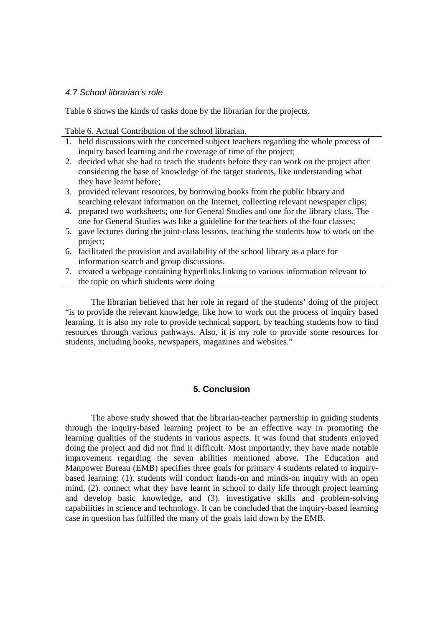#### 4.7 School librarian's role

Table 6 shows the kinds of tasks done by the librarian for the projects.

Table 6. Actual Contribution of the school librarian.

- 1. held discussions with the concerned subject teachers regarding the whole process of inquiry based learning and the coverage of time of the project;
- 2. decided what she had to teach the students before they can work on the project after considering the base of knowledge of the target students, like understanding what they have learnt before;
- 3. provided relevant resources, by borrowing books from the public library and searching relevant information on the Internet, collecting relevant newspaper clips;
- 4. prepared two worksheets; one for General Studies and one for the library class. The one for General Studies was like a guideline for the teachers of the four classes;
- 5. gave lectures during the joint-class lessons, teaching the students how to work on the project;
- 6. facilitated the provision and availability of the school library as a place for information search and group discussions.
- 7. created a webpage containing hyperlinks linking to various information relevant to the topic on which students were doing

The librarian believed that her role in regard of the students' doing of the project "is to provide the relevant knowledge, like how to work out the process of inquiry based learning. It is also my role to provide technical support, by teaching students how to find resources through various pathways. Also, it is my role to provide some resources for students, including books, newspapers, magazines and websites."

## **5. Conclusion**

The above study showed that the librarian-teacher partnership in guiding students through the inquiry-based learning project to be an effective way in promoting the learning qualities of the students in various aspects. It was found that students enjoyed doing the project and did not find it difficult. Most importantly, they have made notable improvement regarding the seven abilities mentioned above. The Education and Manpower Bureau (EMB) specifies three goals for primary 4 students related to inquirybased learning: (1). students will conduct hands-on and minds-on inquiry with an open mind, (2). connect what they have learnt in school to daily life through project learning and develop basic knowledge, and (3). investigative skills and problem-solving capabilities in science and technology. It can be concluded that the inquiry-based learning case in question has fulfilled the many of the goals laid down by the EMB.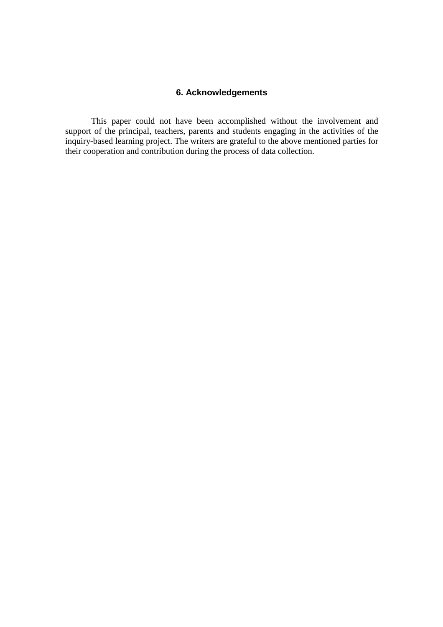## **6. Acknowledgements**

This paper could not have been accomplished without the involvement and support of the principal, teachers, parents and students engaging in the activities of the inquiry-based learning project. The writers are grateful to the above mentioned parties for their cooperation and contribution during the process of data collection.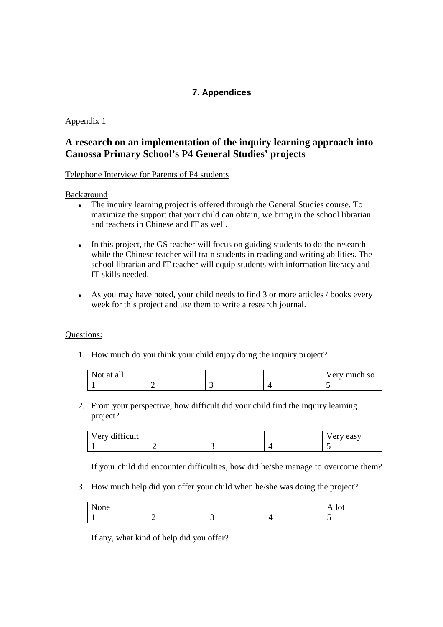## **7. Appendices**

Appendix 1

## **A research on an implementation of the inquiry learning approach into Canossa Primary School's P4 General Studies' projects**

Telephone Interview for Parents of P4 students

Background

- The inquiry learning project is offered through the General Studies course. To maximize the support that your child can obtain, we bring in the school librarian and teachers in Chinese and IT as well.
- In this project, the GS teacher will focus on guiding students to do the research while the Chinese teacher will train students in reading and writing abilities. The school librarian and IT teacher will equip students with information literacy and IT skills needed.
- As you may have noted, your child needs to find 3 or more articles / books every week for this project and use them to write a research journal.

#### Questions:

1. How much do you think your child enjoy doing the inquiry project?

| Not.<br>at all " |  | Very much so |
|------------------|--|--------------|
|                  |  |              |

2. From your perspective, how difficult did your child find the inquiry learning project?

| Very difficult<br>$\mathbf{v}$<br>$\mathbf{v}$ |  | easy<br><b>Cas</b><br>◡ |
|------------------------------------------------|--|-------------------------|
|                                                |  |                         |

If your child did encounter difficulties, how did he/she manage to overcome them?

3. How much help did you offer your child when he/she was doing the project?

| ∩n≙<br>ПC<br>ີ |  | $\sim$ |
|----------------|--|--------|
|                |  |        |

If any, what kind of help did you offer?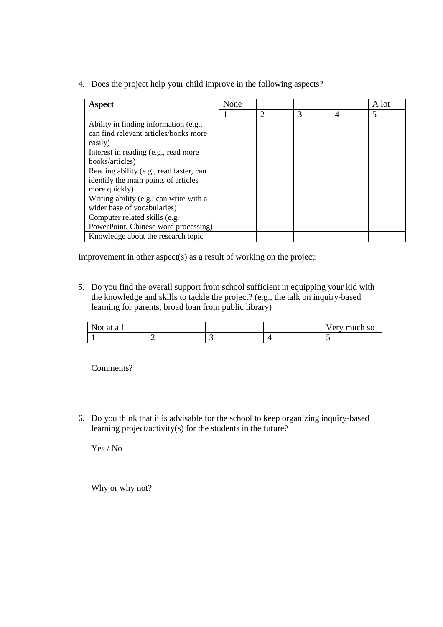4. Does the project help your child improve in the following aspects?

| Aspect                                                                                           | None |                             |   |                | A lot |
|--------------------------------------------------------------------------------------------------|------|-----------------------------|---|----------------|-------|
|                                                                                                  |      | $\mathcal{D}_{\mathcal{A}}$ | 3 | $\overline{4}$ | 5     |
| Ability in finding information (e.g.,<br>can find relevant articles/books more<br>easily)        |      |                             |   |                |       |
| Interest in reading (e.g., read more<br>books/articles)                                          |      |                             |   |                |       |
| Reading ability (e.g., read faster, can<br>identify the main points of articles<br>more quickly) |      |                             |   |                |       |
| Writing ability (e.g., can write with a<br>wider base of vocabularies)                           |      |                             |   |                |       |
| Computer related skills (e.g.<br>PowerPoint, Chinese word processing)                            |      |                             |   |                |       |
| Knowledge about the research topic                                                               |      |                             |   |                |       |

Improvement in other aspect(s) as a result of working on the project:

5. Do you find the overall support from school sufficient in equipping your kid with the knowledge and skills to tackle the project? (e.g., the talk on inquiry-based learning for parents, broad loan from public library)

| Not at<br>all<br>. |  | erv much so |
|--------------------|--|-------------|
|                    |  |             |

Comments?

6. Do you think that it is advisable for the school to keep organizing inquiry-based learning project/activity(s) for the students in the future?

Yes / No

Why or why not?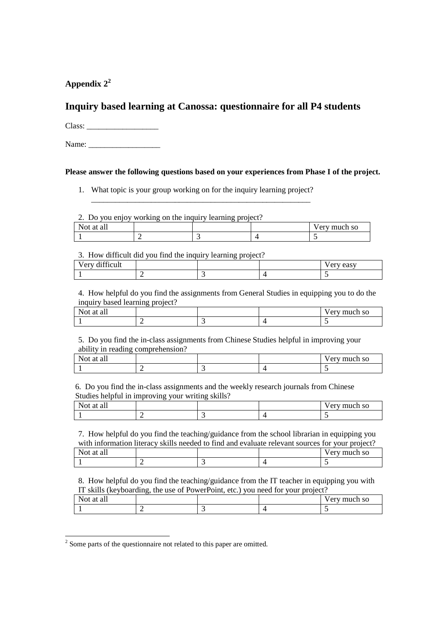**Appendix 2<sup>2</sup>**

## **Inquiry based learning at Canossa: questionnaire for all P4 students**

Class: \_\_\_\_\_\_\_\_\_\_\_\_\_\_\_\_\_\_

Name:

### **Please answer the following questions based on your experiences from Phase I of the project.**

1. What topic is your group working on for the inquiry learning project? \_\_\_\_\_\_\_\_\_\_\_\_\_\_\_\_\_\_\_\_\_\_\_\_\_\_\_\_\_\_\_\_\_\_\_\_\_\_\_\_\_\_\_\_\_\_\_\_\_\_\_\_\_\_\_

2. Do you enjoy working on the inquiry learning project?

| $\mathbf{v}$<br>-at<br>all<br>Not. |  | ery much so |
|------------------------------------|--|-------------|
|                                    |  |             |

#### 3. How difficult did you find the inquiry learning project?

| 1.00<br>T<br>Very difficult |  | ery easy<br>' CI |
|-----------------------------|--|------------------|
|                             |  |                  |

4. How helpful do you find the assignments from General Studies in equipping you to do the inquiry based learning project?

| $\mathbf{v}$<br>$\sim$<br>Not at all |  | erv much so |
|--------------------------------------|--|-------------|
|                                      |  |             |

5. Do you find the in-class assignments from Chinese Studies helpful in improving your ability in reading comprehension?

| $\sim$ $\sim$<br>N.<br>all "<br>-ai<br>$\sim$ |   |  | 'erv much so |
|-----------------------------------------------|---|--|--------------|
|                                               | - |  |              |
|                                               |   |  |              |

 6. Do you find the in-class assignments and the weekly research journals from Chinese Studies helpful in improving your writing skills?

| - -<br>м<br>аı<br> |  | much so<br>.  .<br>◡ |
|--------------------|--|----------------------|
|                    |  |                      |

7. How helpful do you find the teaching/guidance from the school librarian in equipping you with information literacy skills needed to find and evaluate relevant sources for your project?

| <b>Not</b><br>t at ah |  | 'ery much so |
|-----------------------|--|--------------|
|                       |  |              |

8. How helpful do you find the teaching/guidance from the IT teacher in equipping you with IT skills (keyboarding, the use of PowerPoint, etc.) you need for your project?

| Not.<br>° at all |  | Very much so |
|------------------|--|--------------|
|                  |  |              |

<sup>&</sup>lt;sup>2</sup> Some parts of the questionnaire not related to this paper are omitted.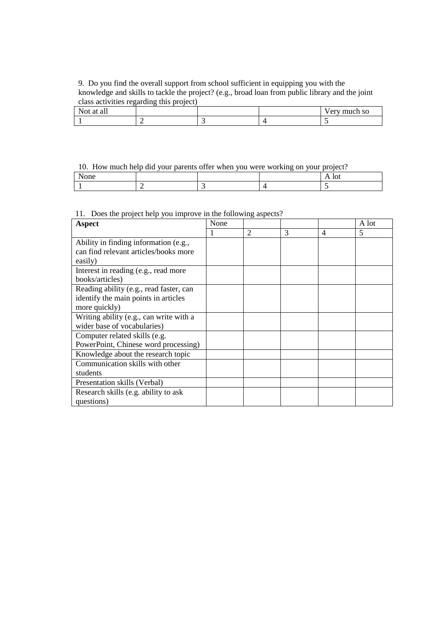9. Do you find the overall support from school sufficient in equipping you with the knowledge and skills to tackle the project? (e.g., broad loan from public library and the joint class activities regarding this project)

| <b>11</b><br>$\mathbf{v}$<br>Not at all |  | much so<br>erv muc |
|-----------------------------------------|--|--------------------|
|                                         |  |                    |

### 10. How much help did your parents offer when you were working on your project?

#### 11. Does the project help you improve in the following aspects?

| <b>Aspect</b>                           | None |   |   |                | A lot |
|-----------------------------------------|------|---|---|----------------|-------|
|                                         |      | 2 | 3 | $\overline{4}$ | 5     |
| Ability in finding information (e.g.,   |      |   |   |                |       |
| can find relevant articles/books more   |      |   |   |                |       |
| easily)                                 |      |   |   |                |       |
| Interest in reading (e.g., read more    |      |   |   |                |       |
| books/articles)                         |      |   |   |                |       |
| Reading ability (e.g., read faster, can |      |   |   |                |       |
| identify the main points in articles    |      |   |   |                |       |
| more quickly)                           |      |   |   |                |       |
| Writing ability (e.g., can write with a |      |   |   |                |       |
| wider base of vocabularies)             |      |   |   |                |       |
| Computer related skills (e.g.           |      |   |   |                |       |
| PowerPoint, Chinese word processing)    |      |   |   |                |       |
| Knowledge about the research topic      |      |   |   |                |       |
| Communication skills with other         |      |   |   |                |       |
| students                                |      |   |   |                |       |
| Presentation skills (Verbal)            |      |   |   |                |       |
| Research skills (e.g. ability to ask    |      |   |   |                |       |
| questions)                              |      |   |   |                |       |